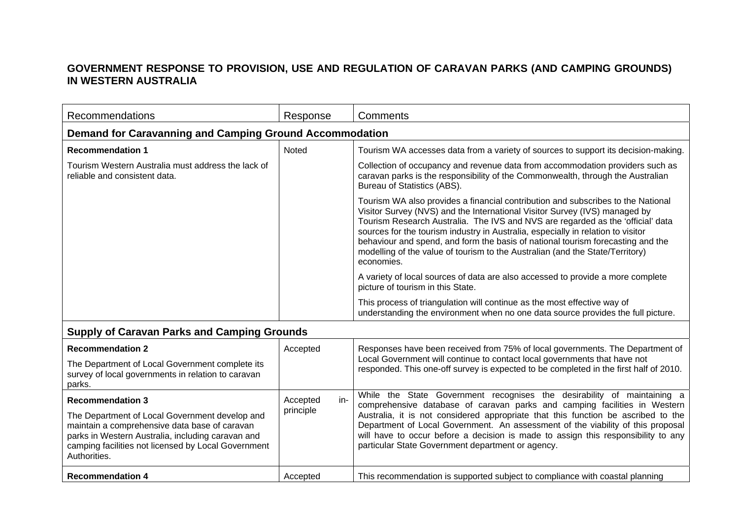## **GOVERNMENT RESPONSE TO PROVISION, USE AND REGULATION OF CARAVAN PARKS (AND CAMPING GROUNDS) IN WESTERN AUSTRALIA**

| Recommendations                                                                                                                                                                                                             | Response        | Comments                                                                                                                                                                                                                                                                                                                                                                                                                                                                                                                |
|-----------------------------------------------------------------------------------------------------------------------------------------------------------------------------------------------------------------------------|-----------------|-------------------------------------------------------------------------------------------------------------------------------------------------------------------------------------------------------------------------------------------------------------------------------------------------------------------------------------------------------------------------------------------------------------------------------------------------------------------------------------------------------------------------|
| <b>Demand for Caravanning and Camping Ground Accommodation</b>                                                                                                                                                              |                 |                                                                                                                                                                                                                                                                                                                                                                                                                                                                                                                         |
| <b>Recommendation 1</b>                                                                                                                                                                                                     | Noted           | Tourism WA accesses data from a variety of sources to support its decision-making.                                                                                                                                                                                                                                                                                                                                                                                                                                      |
| Tourism Western Australia must address the lack of<br>reliable and consistent data.                                                                                                                                         |                 | Collection of occupancy and revenue data from accommodation providers such as<br>caravan parks is the responsibility of the Commonwealth, through the Australian<br>Bureau of Statistics (ABS).                                                                                                                                                                                                                                                                                                                         |
|                                                                                                                                                                                                                             |                 | Tourism WA also provides a financial contribution and subscribes to the National<br>Visitor Survey (NVS) and the International Visitor Survey (IVS) managed by<br>Tourism Research Australia. The IVS and NVS are regarded as the 'official' data<br>sources for the tourism industry in Australia, especially in relation to visitor<br>behaviour and spend, and form the basis of national tourism forecasting and the<br>modelling of the value of tourism to the Australian (and the State/Territory)<br>economies. |
|                                                                                                                                                                                                                             |                 | A variety of local sources of data are also accessed to provide a more complete<br>picture of tourism in this State.                                                                                                                                                                                                                                                                                                                                                                                                    |
|                                                                                                                                                                                                                             |                 | This process of triangulation will continue as the most effective way of<br>understanding the environment when no one data source provides the full picture.                                                                                                                                                                                                                                                                                                                                                            |
| <b>Supply of Caravan Parks and Camping Grounds</b>                                                                                                                                                                          |                 |                                                                                                                                                                                                                                                                                                                                                                                                                                                                                                                         |
| <b>Recommendation 2</b><br>The Department of Local Government complete its<br>survey of local governments in relation to caravan<br>parks.                                                                                  | Accepted        | Responses have been received from 75% of local governments. The Department of<br>Local Government will continue to contact local governments that have not<br>responded. This one-off survey is expected to be completed in the first half of 2010.                                                                                                                                                                                                                                                                     |
| <b>Recommendation 3</b>                                                                                                                                                                                                     | Accepted<br>in- | While the State Government recognises the desirability of maintaining a                                                                                                                                                                                                                                                                                                                                                                                                                                                 |
| The Department of Local Government develop and<br>maintain a comprehensive data base of caravan<br>parks in Western Australia, including caravan and<br>camping facilities not licensed by Local Government<br>Authorities. | principle       | comprehensive database of caravan parks and camping facilities in Western<br>Australia, it is not considered appropriate that this function be ascribed to the<br>Department of Local Government. An assessment of the viability of this proposal<br>will have to occur before a decision is made to assign this responsibility to any<br>particular State Government department or agency.                                                                                                                             |
| <b>Recommendation 4</b>                                                                                                                                                                                                     | Accepted        | This recommendation is supported subject to compliance with coastal planning                                                                                                                                                                                                                                                                                                                                                                                                                                            |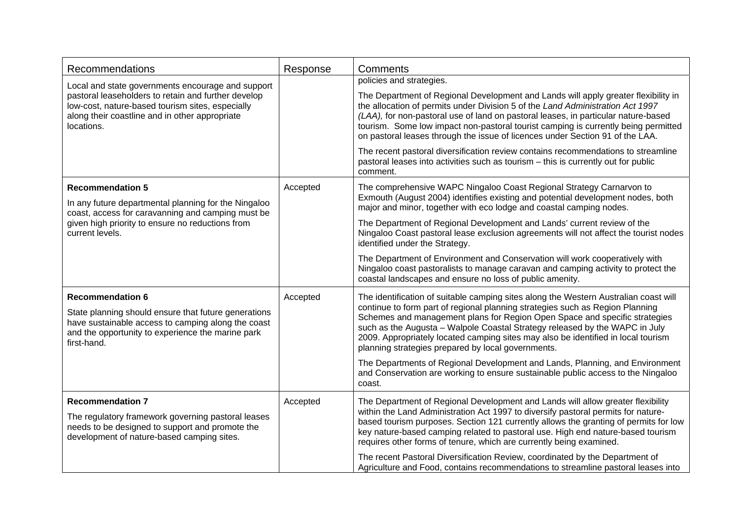| Recommendations                                                                                                                                                                                                              | Response | Comments                                                                                                                                                                                                                                                                                                                                                                                                                                                                                                                                                                                                                                             |
|------------------------------------------------------------------------------------------------------------------------------------------------------------------------------------------------------------------------------|----------|------------------------------------------------------------------------------------------------------------------------------------------------------------------------------------------------------------------------------------------------------------------------------------------------------------------------------------------------------------------------------------------------------------------------------------------------------------------------------------------------------------------------------------------------------------------------------------------------------------------------------------------------------|
| Local and state governments encourage and support<br>pastoral leaseholders to retain and further develop<br>low-cost, nature-based tourism sites, especially<br>along their coastline and in other appropriate<br>locations. |          | policies and strategies.<br>The Department of Regional Development and Lands will apply greater flexibility in<br>the allocation of permits under Division 5 of the Land Administration Act 1997<br>(LAA), for non-pastoral use of land on pastoral leases, in particular nature-based<br>tourism. Some low impact non-pastoral tourist camping is currently being permitted<br>on pastoral leases through the issue of licences under Section 91 of the LAA.<br>The recent pastoral diversification review contains recommendations to streamline<br>pastoral leases into activities such as tourism - this is currently out for public<br>comment. |
| <b>Recommendation 5</b><br>In any future departmental planning for the Ningaloo<br>coast, access for caravanning and camping must be<br>given high priority to ensure no reductions from<br>current levels.                  | Accepted | The comprehensive WAPC Ningaloo Coast Regional Strategy Carnarvon to<br>Exmouth (August 2004) identifies existing and potential development nodes, both<br>major and minor, together with eco lodge and coastal camping nodes.<br>The Department of Regional Development and Lands' current review of the<br>Ningaloo Coast pastoral lease exclusion agreements will not affect the tourist nodes<br>identified under the Strategy.                                                                                                                                                                                                                  |
|                                                                                                                                                                                                                              |          | The Department of Environment and Conservation will work cooperatively with<br>Ningaloo coast pastoralists to manage caravan and camping activity to protect the<br>coastal landscapes and ensure no loss of public amenity.                                                                                                                                                                                                                                                                                                                                                                                                                         |
| <b>Recommendation 6</b><br>State planning should ensure that future generations<br>have sustainable access to camping along the coast<br>and the opportunity to experience the marine park<br>first-hand.                    | Accepted | The identification of suitable camping sites along the Western Australian coast will<br>continue to form part of regional planning strategies such as Region Planning<br>Schemes and management plans for Region Open Space and specific strategies<br>such as the Augusta - Walpole Coastal Strategy released by the WAPC in July<br>2009. Appropriately located camping sites may also be identified in local tourism<br>planning strategies prepared by local governments.                                                                                                                                                                        |
|                                                                                                                                                                                                                              |          | The Departments of Regional Development and Lands, Planning, and Environment<br>and Conservation are working to ensure sustainable public access to the Ningaloo<br>coast.                                                                                                                                                                                                                                                                                                                                                                                                                                                                           |
| <b>Recommendation 7</b><br>The regulatory framework governing pastoral leases<br>needs to be designed to support and promote the<br>development of nature-based camping sites.                                               | Accepted | The Department of Regional Development and Lands will allow greater flexibility<br>within the Land Administration Act 1997 to diversify pastoral permits for nature-<br>based tourism purposes. Section 121 currently allows the granting of permits for low<br>key nature-based camping related to pastoral use. High end nature-based tourism<br>requires other forms of tenure, which are currently being examined.                                                                                                                                                                                                                               |
|                                                                                                                                                                                                                              |          | The recent Pastoral Diversification Review, coordinated by the Department of<br>Agriculture and Food, contains recommendations to streamline pastoral leases into                                                                                                                                                                                                                                                                                                                                                                                                                                                                                    |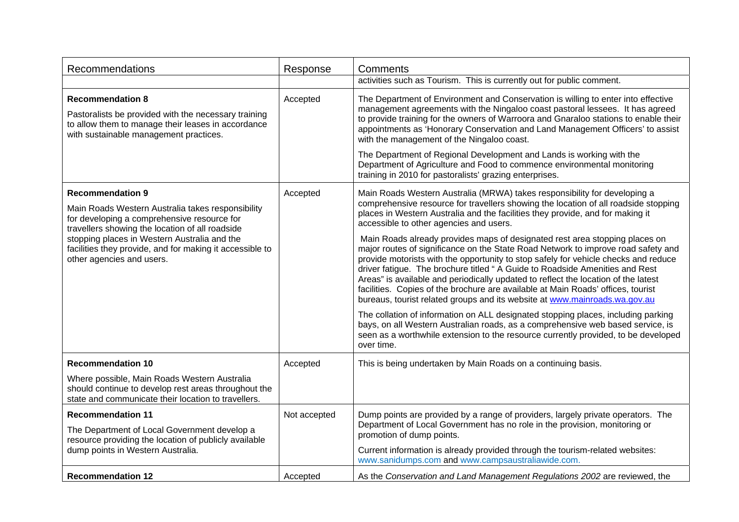| Recommendations                                                                                                                                                                                                                                                                                                         | Response     | Comments                                                                                                                                                                                                                                                                                                                                                                                                                                                                                                                                                                                                                                                                                                                                                                                                                                                                                                                                                                                                                                                                                                                                                                    |
|-------------------------------------------------------------------------------------------------------------------------------------------------------------------------------------------------------------------------------------------------------------------------------------------------------------------------|--------------|-----------------------------------------------------------------------------------------------------------------------------------------------------------------------------------------------------------------------------------------------------------------------------------------------------------------------------------------------------------------------------------------------------------------------------------------------------------------------------------------------------------------------------------------------------------------------------------------------------------------------------------------------------------------------------------------------------------------------------------------------------------------------------------------------------------------------------------------------------------------------------------------------------------------------------------------------------------------------------------------------------------------------------------------------------------------------------------------------------------------------------------------------------------------------------|
|                                                                                                                                                                                                                                                                                                                         |              | activities such as Tourism. This is currently out for public comment.                                                                                                                                                                                                                                                                                                                                                                                                                                                                                                                                                                                                                                                                                                                                                                                                                                                                                                                                                                                                                                                                                                       |
| <b>Recommendation 8</b><br>Pastoralists be provided with the necessary training<br>to allow them to manage their leases in accordance<br>with sustainable management practices.                                                                                                                                         | Accepted     | The Department of Environment and Conservation is willing to enter into effective<br>management agreements with the Ningaloo coast pastoral lessees. It has agreed<br>to provide training for the owners of Warroora and Gnaraloo stations to enable their<br>appointments as 'Honorary Conservation and Land Management Officers' to assist<br>with the management of the Ningaloo coast.<br>The Department of Regional Development and Lands is working with the<br>Department of Agriculture and Food to commence environmental monitoring<br>training in 2010 for pastoralists' grazing enterprises.                                                                                                                                                                                                                                                                                                                                                                                                                                                                                                                                                                    |
| <b>Recommendation 9</b><br>Main Roads Western Australia takes responsibility<br>for developing a comprehensive resource for<br>travellers showing the location of all roadside<br>stopping places in Western Australia and the<br>facilities they provide, and for making it accessible to<br>other agencies and users. | Accepted     | Main Roads Western Australia (MRWA) takes responsibility for developing a<br>comprehensive resource for travellers showing the location of all roadside stopping<br>places in Western Australia and the facilities they provide, and for making it<br>accessible to other agencies and users.<br>Main Roads already provides maps of designated rest area stopping places on<br>major routes of significance on the State Road Network to improve road safety and<br>provide motorists with the opportunity to stop safely for vehicle checks and reduce<br>driver fatigue. The brochure titled "A Guide to Roadside Amenities and Rest<br>Areas" is available and periodically updated to reflect the location of the latest<br>facilities. Copies of the brochure are available at Main Roads' offices, tourist<br>bureaus, tourist related groups and its website at www.mainroads.wa.gov.au<br>The collation of information on ALL designated stopping places, including parking<br>bays, on all Western Australian roads, as a comprehensive web based service, is<br>seen as a worthwhile extension to the resource currently provided, to be developed<br>over time. |
| <b>Recommendation 10</b>                                                                                                                                                                                                                                                                                                | Accepted     | This is being undertaken by Main Roads on a continuing basis.                                                                                                                                                                                                                                                                                                                                                                                                                                                                                                                                                                                                                                                                                                                                                                                                                                                                                                                                                                                                                                                                                                               |
| Where possible, Main Roads Western Australia<br>should continue to develop rest areas throughout the<br>state and communicate their location to travellers.                                                                                                                                                             |              |                                                                                                                                                                                                                                                                                                                                                                                                                                                                                                                                                                                                                                                                                                                                                                                                                                                                                                                                                                                                                                                                                                                                                                             |
| <b>Recommendation 11</b><br>The Department of Local Government develop a<br>resource providing the location of publicly available<br>dump points in Western Australia.                                                                                                                                                  | Not accepted | Dump points are provided by a range of providers, largely private operators. The<br>Department of Local Government has no role in the provision, monitoring or<br>promotion of dump points.<br>Current information is already provided through the tourism-related websites:<br>www.sanidumps.com and www.campsaustraliawide.com.                                                                                                                                                                                                                                                                                                                                                                                                                                                                                                                                                                                                                                                                                                                                                                                                                                           |
| <b>Recommendation 12</b>                                                                                                                                                                                                                                                                                                | Accepted     | As the Conservation and Land Management Regulations 2002 are reviewed, the                                                                                                                                                                                                                                                                                                                                                                                                                                                                                                                                                                                                                                                                                                                                                                                                                                                                                                                                                                                                                                                                                                  |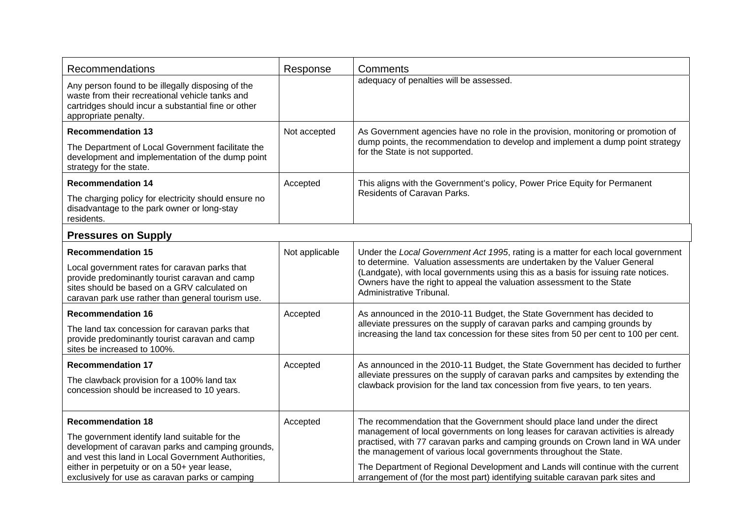| Recommendations                                                                                                                                                                                                                                                                          | Response       | Comments                                                                                                                                                                                                                                                                                                                                                                                                                                                                                  |
|------------------------------------------------------------------------------------------------------------------------------------------------------------------------------------------------------------------------------------------------------------------------------------------|----------------|-------------------------------------------------------------------------------------------------------------------------------------------------------------------------------------------------------------------------------------------------------------------------------------------------------------------------------------------------------------------------------------------------------------------------------------------------------------------------------------------|
| Any person found to be illegally disposing of the<br>waste from their recreational vehicle tanks and<br>cartridges should incur a substantial fine or other<br>appropriate penalty.                                                                                                      |                | adequacy of penalties will be assessed.                                                                                                                                                                                                                                                                                                                                                                                                                                                   |
| <b>Recommendation 13</b><br>The Department of Local Government facilitate the<br>development and implementation of the dump point<br>strategy for the state.                                                                                                                             | Not accepted   | As Government agencies have no role in the provision, monitoring or promotion of<br>dump points, the recommendation to develop and implement a dump point strategy<br>for the State is not supported.                                                                                                                                                                                                                                                                                     |
| <b>Recommendation 14</b><br>The charging policy for electricity should ensure no<br>disadvantage to the park owner or long-stay<br>residents.                                                                                                                                            | Accepted       | This aligns with the Government's policy, Power Price Equity for Permanent<br>Residents of Caravan Parks.                                                                                                                                                                                                                                                                                                                                                                                 |
| <b>Pressures on Supply</b>                                                                                                                                                                                                                                                               |                |                                                                                                                                                                                                                                                                                                                                                                                                                                                                                           |
| <b>Recommendation 15</b><br>Local government rates for caravan parks that<br>provide predominantly tourist caravan and camp<br>sites should be based on a GRV calculated on<br>caravan park use rather than general tourism use.                                                         | Not applicable | Under the Local Government Act 1995, rating is a matter for each local government<br>to determine. Valuation assessments are undertaken by the Valuer General<br>(Landgate), with local governments using this as a basis for issuing rate notices.<br>Owners have the right to appeal the valuation assessment to the State<br>Administrative Tribunal.                                                                                                                                  |
| <b>Recommendation 16</b><br>The land tax concession for caravan parks that<br>provide predominantly tourist caravan and camp<br>sites be increased to 100%.                                                                                                                              | Accepted       | As announced in the 2010-11 Budget, the State Government has decided to<br>alleviate pressures on the supply of caravan parks and camping grounds by<br>increasing the land tax concession for these sites from 50 per cent to 100 per cent.                                                                                                                                                                                                                                              |
| <b>Recommendation 17</b><br>The clawback provision for a 100% land tax<br>concession should be increased to 10 years.                                                                                                                                                                    | Accepted       | As announced in the 2010-11 Budget, the State Government has decided to further<br>alleviate pressures on the supply of caravan parks and campsites by extending the<br>clawback provision for the land tax concession from five years, to ten years.                                                                                                                                                                                                                                     |
| <b>Recommendation 18</b><br>The government identify land suitable for the<br>development of caravan parks and camping grounds,<br>and vest this land in Local Government Authorities,<br>either in perpetuity or on a 50+ year lease,<br>exclusively for use as caravan parks or camping | Accepted       | The recommendation that the Government should place land under the direct<br>management of local governments on long leases for caravan activities is already<br>practised, with 77 caravan parks and camping grounds on Crown land in WA under<br>the management of various local governments throughout the State.<br>The Department of Regional Development and Lands will continue with the current<br>arrangement of (for the most part) identifying suitable caravan park sites and |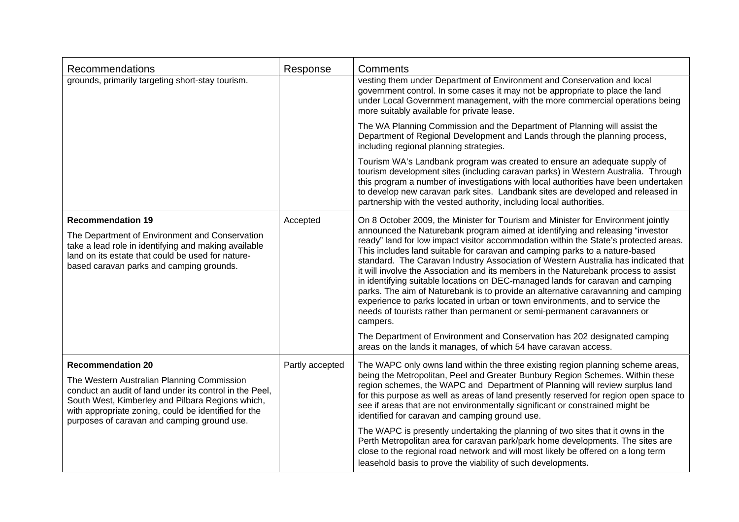| Recommendations                                                                                                                                                                                                                                                                              | Response        | Comments                                                                                                                                                                                                                                                                                                                                                                                                                                                                                                                                                                                                                                                                                                                                                                                                                                                                                                                                                                                                              |
|----------------------------------------------------------------------------------------------------------------------------------------------------------------------------------------------------------------------------------------------------------------------------------------------|-----------------|-----------------------------------------------------------------------------------------------------------------------------------------------------------------------------------------------------------------------------------------------------------------------------------------------------------------------------------------------------------------------------------------------------------------------------------------------------------------------------------------------------------------------------------------------------------------------------------------------------------------------------------------------------------------------------------------------------------------------------------------------------------------------------------------------------------------------------------------------------------------------------------------------------------------------------------------------------------------------------------------------------------------------|
| grounds, primarily targeting short-stay tourism.                                                                                                                                                                                                                                             |                 | vesting them under Department of Environment and Conservation and local<br>government control. In some cases it may not be appropriate to place the land<br>under Local Government management, with the more commercial operations being<br>more suitably available for private lease.                                                                                                                                                                                                                                                                                                                                                                                                                                                                                                                                                                                                                                                                                                                                |
|                                                                                                                                                                                                                                                                                              |                 | The WA Planning Commission and the Department of Planning will assist the<br>Department of Regional Development and Lands through the planning process,<br>including regional planning strategies.                                                                                                                                                                                                                                                                                                                                                                                                                                                                                                                                                                                                                                                                                                                                                                                                                    |
|                                                                                                                                                                                                                                                                                              |                 | Tourism WA's Landbank program was created to ensure an adequate supply of<br>tourism development sites (including caravan parks) in Western Australia. Through<br>this program a number of investigations with local authorities have been undertaken<br>to develop new caravan park sites. Landbank sites are developed and released in<br>partnership with the vested authority, including local authorities.                                                                                                                                                                                                                                                                                                                                                                                                                                                                                                                                                                                                       |
| <b>Recommendation 19</b><br>The Department of Environment and Conservation<br>take a lead role in identifying and making available<br>land on its estate that could be used for nature-<br>based caravan parks and camping grounds.                                                          | Accepted        | On 8 October 2009, the Minister for Tourism and Minister for Environment jointly<br>announced the Naturebank program aimed at identifying and releasing "investor<br>ready" land for low impact visitor accommodation within the State's protected areas.<br>This includes land suitable for caravan and camping parks to a nature-based<br>standard. The Caravan Industry Association of Western Australia has indicated that<br>it will involve the Association and its members in the Naturebank process to assist<br>in identifying suitable locations on DEC-managed lands for caravan and camping<br>parks. The aim of Naturebank is to provide an alternative caravanning and camping<br>experience to parks located in urban or town environments, and to service the<br>needs of tourists rather than permanent or semi-permanent caravanners or<br>campers.<br>The Department of Environment and Conservation has 202 designated camping<br>areas on the lands it manages, of which 54 have caravan access. |
| <b>Recommendation 20</b><br>The Western Australian Planning Commission<br>conduct an audit of land under its control in the Peel,<br>South West, Kimberley and Pilbara Regions which,<br>with appropriate zoning, could be identified for the<br>purposes of caravan and camping ground use. | Partly accepted | The WAPC only owns land within the three existing region planning scheme areas,<br>being the Metropolitan, Peel and Greater Bunbury Region Schemes. Within these<br>region schemes, the WAPC and Department of Planning will review surplus land<br>for this purpose as well as areas of land presently reserved for region open space to<br>see if areas that are not environmentally significant or constrained might be<br>identified for caravan and camping ground use.<br>The WAPC is presently undertaking the planning of two sites that it owns in the<br>Perth Metropolitan area for caravan park/park home developments. The sites are<br>close to the regional road network and will most likely be offered on a long term<br>leasehold basis to prove the viability of such developments.                                                                                                                                                                                                                |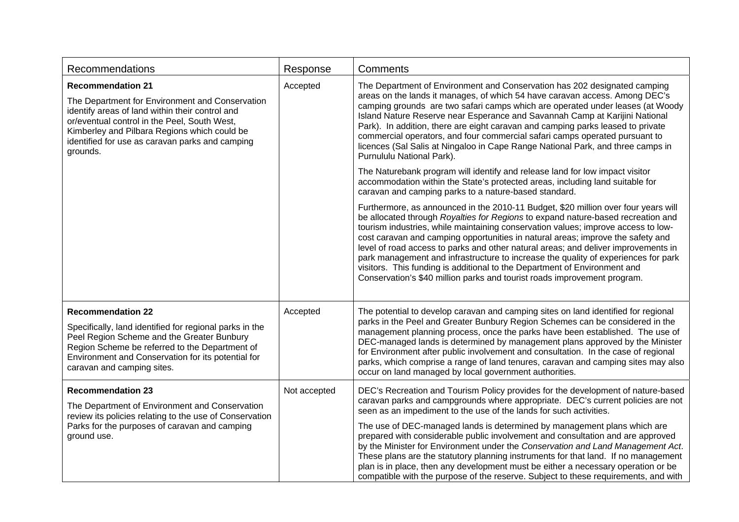| <b>Recommendations</b>                                                                                                                                                                                                                                                                        | Response     | Comments                                                                                                                                                                                                                                                                                                                                                                                                                                                                                                                                                                                                                                                                                                                                                      |
|-----------------------------------------------------------------------------------------------------------------------------------------------------------------------------------------------------------------------------------------------------------------------------------------------|--------------|---------------------------------------------------------------------------------------------------------------------------------------------------------------------------------------------------------------------------------------------------------------------------------------------------------------------------------------------------------------------------------------------------------------------------------------------------------------------------------------------------------------------------------------------------------------------------------------------------------------------------------------------------------------------------------------------------------------------------------------------------------------|
| <b>Recommendation 21</b><br>The Department for Environment and Conservation<br>identify areas of land within their control and<br>or/eventual control in the Peel, South West,<br>Kimberley and Pilbara Regions which could be<br>identified for use as caravan parks and camping<br>grounds. | Accepted     | The Department of Environment and Conservation has 202 designated camping<br>areas on the lands it manages, of which 54 have caravan access. Among DEC's<br>camping grounds are two safari camps which are operated under leases (at Woody<br>Island Nature Reserve near Esperance and Savannah Camp at Karijini National<br>Park). In addition, there are eight caravan and camping parks leased to private<br>commercial operators, and four commercial safari camps operated pursuant to<br>licences (Sal Salis at Ningaloo in Cape Range National Park, and three camps in<br>Purnululu National Park).                                                                                                                                                   |
|                                                                                                                                                                                                                                                                                               |              | The Naturebank program will identify and release land for low impact visitor<br>accommodation within the State's protected areas, including land suitable for<br>caravan and camping parks to a nature-based standard.                                                                                                                                                                                                                                                                                                                                                                                                                                                                                                                                        |
|                                                                                                                                                                                                                                                                                               |              | Furthermore, as announced in the 2010-11 Budget, \$20 million over four years will<br>be allocated through Royalties for Regions to expand nature-based recreation and<br>tourism industries, while maintaining conservation values; improve access to low-<br>cost caravan and camping opportunities in natural areas; improve the safety and<br>level of road access to parks and other natural areas; and deliver improvements in<br>park management and infrastructure to increase the quality of experiences for park<br>visitors. This funding is additional to the Department of Environment and<br>Conservation's \$40 million parks and tourist roads improvement program.                                                                           |
| <b>Recommendation 22</b><br>Specifically, land identified for regional parks in the<br>Peel Region Scheme and the Greater Bunbury<br>Region Scheme be referred to the Department of<br>Environment and Conservation for its potential for<br>caravan and camping sites.                       | Accepted     | The potential to develop caravan and camping sites on land identified for regional<br>parks in the Peel and Greater Bunbury Region Schemes can be considered in the<br>management planning process, once the parks have been established. The use of<br>DEC-managed lands is determined by management plans approved by the Minister<br>for Environment after public involvement and consultation. In the case of regional<br>parks, which comprise a range of land tenures, caravan and camping sites may also<br>occur on land managed by local government authorities.                                                                                                                                                                                     |
| <b>Recommendation 23</b><br>The Department of Environment and Conservation<br>review its policies relating to the use of Conservation<br>Parks for the purposes of caravan and camping<br>ground use.                                                                                         | Not accepted | DEC's Recreation and Tourism Policy provides for the development of nature-based<br>caravan parks and campgrounds where appropriate. DEC's current policies are not<br>seen as an impediment to the use of the lands for such activities.<br>The use of DEC-managed lands is determined by management plans which are<br>prepared with considerable public involvement and consultation and are approved<br>by the Minister for Environment under the Conservation and Land Management Act.<br>These plans are the statutory planning instruments for that land. If no management<br>plan is in place, then any development must be either a necessary operation or be<br>compatible with the purpose of the reserve. Subject to these requirements, and with |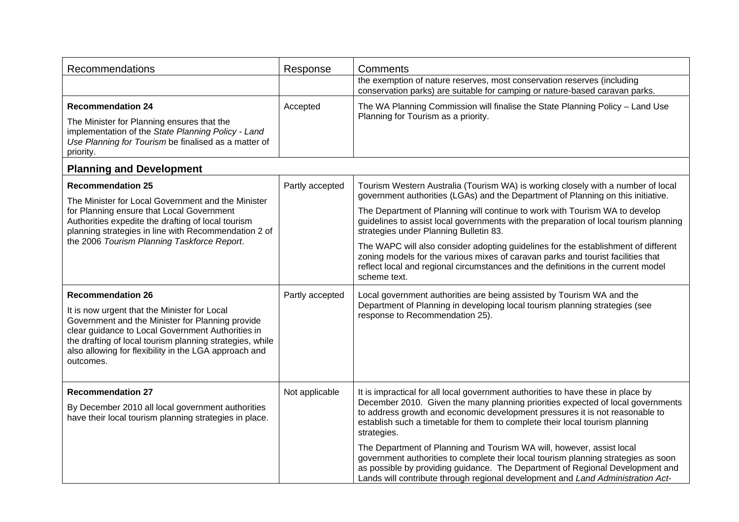| Recommendations                                                                                                                                                                                                                                                                                                     | Response        | Comments                                                                                                                                                                                                                                                                                                                                                                                                                                                                                                                                                                                                                                                                              |
|---------------------------------------------------------------------------------------------------------------------------------------------------------------------------------------------------------------------------------------------------------------------------------------------------------------------|-----------------|---------------------------------------------------------------------------------------------------------------------------------------------------------------------------------------------------------------------------------------------------------------------------------------------------------------------------------------------------------------------------------------------------------------------------------------------------------------------------------------------------------------------------------------------------------------------------------------------------------------------------------------------------------------------------------------|
|                                                                                                                                                                                                                                                                                                                     |                 | the exemption of nature reserves, most conservation reserves (including<br>conservation parks) are suitable for camping or nature-based caravan parks.                                                                                                                                                                                                                                                                                                                                                                                                                                                                                                                                |
| <b>Recommendation 24</b><br>The Minister for Planning ensures that the<br>implementation of the State Planning Policy - Land<br>Use Planning for Tourism be finalised as a matter of<br>priority.                                                                                                                   | Accepted        | The WA Planning Commission will finalise the State Planning Policy - Land Use<br>Planning for Tourism as a priority.                                                                                                                                                                                                                                                                                                                                                                                                                                                                                                                                                                  |
| <b>Planning and Development</b>                                                                                                                                                                                                                                                                                     |                 |                                                                                                                                                                                                                                                                                                                                                                                                                                                                                                                                                                                                                                                                                       |
| <b>Recommendation 25</b><br>The Minister for Local Government and the Minister<br>for Planning ensure that Local Government<br>Authorities expedite the drafting of local tourism<br>planning strategies in line with Recommendation 2 of<br>the 2006 Tourism Planning Taskforce Report.                            | Partly accepted | Tourism Western Australia (Tourism WA) is working closely with a number of local<br>government authorities (LGAs) and the Department of Planning on this initiative.<br>The Department of Planning will continue to work with Tourism WA to develop<br>guidelines to assist local governments with the preparation of local tourism planning<br>strategies under Planning Bulletin 83.<br>The WAPC will also consider adopting guidelines for the establishment of different<br>zoning models for the various mixes of caravan parks and tourist facilities that<br>reflect local and regional circumstances and the definitions in the current model<br>scheme text.                 |
| <b>Recommendation 26</b><br>It is now urgent that the Minister for Local<br>Government and the Minister for Planning provide<br>clear guidance to Local Government Authorities in<br>the drafting of local tourism planning strategies, while<br>also allowing for flexibility in the LGA approach and<br>outcomes. | Partly accepted | Local government authorities are being assisted by Tourism WA and the<br>Department of Planning in developing local tourism planning strategies (see<br>response to Recommendation 25).                                                                                                                                                                                                                                                                                                                                                                                                                                                                                               |
| <b>Recommendation 27</b><br>By December 2010 all local government authorities<br>have their local tourism planning strategies in place.                                                                                                                                                                             | Not applicable  | It is impractical for all local government authorities to have these in place by<br>December 2010. Given the many planning priorities expected of local governments<br>to address growth and economic development pressures it is not reasonable to<br>establish such a timetable for them to complete their local tourism planning<br>strategies.<br>The Department of Planning and Tourism WA will, however, assist local<br>government authorities to complete their local tourism planning strategies as soon<br>as possible by providing guidance. The Department of Regional Development and<br>Lands will contribute through regional development and Land Administration Act- |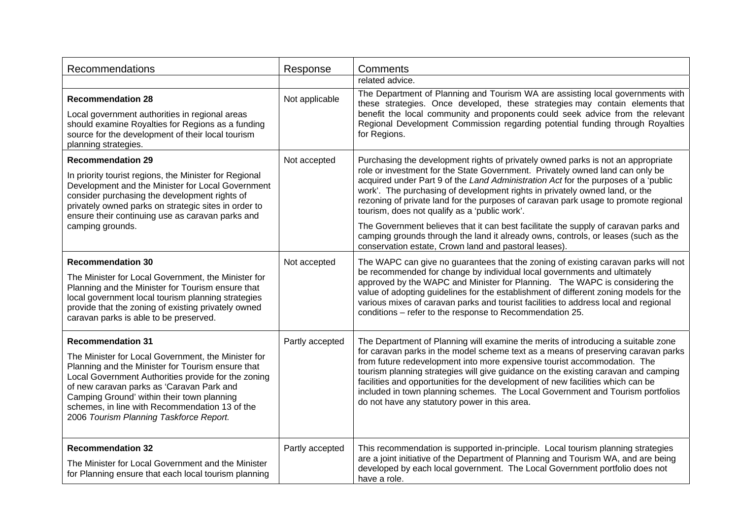| Recommendations                                                                                                                                                                                                                                                                                                                                                                     | Response        | Comments                                                                                                                                                                                                                                                                                                                                                                                                                                                                                                                                                       |
|-------------------------------------------------------------------------------------------------------------------------------------------------------------------------------------------------------------------------------------------------------------------------------------------------------------------------------------------------------------------------------------|-----------------|----------------------------------------------------------------------------------------------------------------------------------------------------------------------------------------------------------------------------------------------------------------------------------------------------------------------------------------------------------------------------------------------------------------------------------------------------------------------------------------------------------------------------------------------------------------|
|                                                                                                                                                                                                                                                                                                                                                                                     |                 | related advice.                                                                                                                                                                                                                                                                                                                                                                                                                                                                                                                                                |
| <b>Recommendation 28</b><br>Local government authorities in regional areas<br>should examine Royalties for Regions as a funding<br>source for the development of their local tourism<br>planning strategies.                                                                                                                                                                        | Not applicable  | The Department of Planning and Tourism WA are assisting local governments with<br>these strategies. Once developed, these strategies may contain elements that<br>benefit the local community and proponents could seek advice from the relevant<br>Regional Development Commission regarding potential funding through Royalties<br>for Regions.                                                                                                                                                                                                              |
| <b>Recommendation 29</b><br>In priority tourist regions, the Minister for Regional<br>Development and the Minister for Local Government<br>consider purchasing the development rights of                                                                                                                                                                                            | Not accepted    | Purchasing the development rights of privately owned parks is not an appropriate<br>role or investment for the State Government. Privately owned land can only be<br>acquired under Part 9 of the Land Administration Act for the purposes of a 'public<br>work'. The purchasing of development rights in privately owned land, or the                                                                                                                                                                                                                         |
| privately owned parks on strategic sites in order to<br>ensure their continuing use as caravan parks and                                                                                                                                                                                                                                                                            |                 | rezoning of private land for the purposes of caravan park usage to promote regional<br>tourism, does not qualify as a 'public work'.                                                                                                                                                                                                                                                                                                                                                                                                                           |
| camping grounds.                                                                                                                                                                                                                                                                                                                                                                    |                 | The Government believes that it can best facilitate the supply of caravan parks and<br>camping grounds through the land it already owns, controls, or leases (such as the<br>conservation estate, Crown land and pastoral leases).                                                                                                                                                                                                                                                                                                                             |
| <b>Recommendation 30</b><br>The Minister for Local Government, the Minister for<br>Planning and the Minister for Tourism ensure that<br>local government local tourism planning strategies<br>provide that the zoning of existing privately owned<br>caravan parks is able to be preserved.                                                                                         | Not accepted    | The WAPC can give no guarantees that the zoning of existing caravan parks will not<br>be recommended for change by individual local governments and ultimately<br>approved by the WAPC and Minister for Planning. The WAPC is considering the<br>value of adopting guidelines for the establishment of different zoning models for the<br>various mixes of caravan parks and tourist facilities to address local and regional<br>conditions - refer to the response to Recommendation 25.                                                                      |
| <b>Recommendation 31</b><br>The Minister for Local Government, the Minister for<br>Planning and the Minister for Tourism ensure that<br>Local Government Authorities provide for the zoning<br>of new caravan parks as 'Caravan Park and<br>Camping Ground' within their town planning<br>schemes, in line with Recommendation 13 of the<br>2006 Tourism Planning Taskforce Report. | Partly accepted | The Department of Planning will examine the merits of introducing a suitable zone<br>for caravan parks in the model scheme text as a means of preserving caravan parks<br>from future redevelopment into more expensive tourist accommodation. The<br>tourism planning strategies will give guidance on the existing caravan and camping<br>facilities and opportunities for the development of new facilities which can be<br>included in town planning schemes. The Local Government and Tourism portfolios<br>do not have any statutory power in this area. |
| <b>Recommendation 32</b><br>The Minister for Local Government and the Minister<br>for Planning ensure that each local tourism planning                                                                                                                                                                                                                                              | Partly accepted | This recommendation is supported in-principle. Local tourism planning strategies<br>are a joint initiative of the Department of Planning and Tourism WA, and are being<br>developed by each local government. The Local Government portfolio does not<br>have a role.                                                                                                                                                                                                                                                                                          |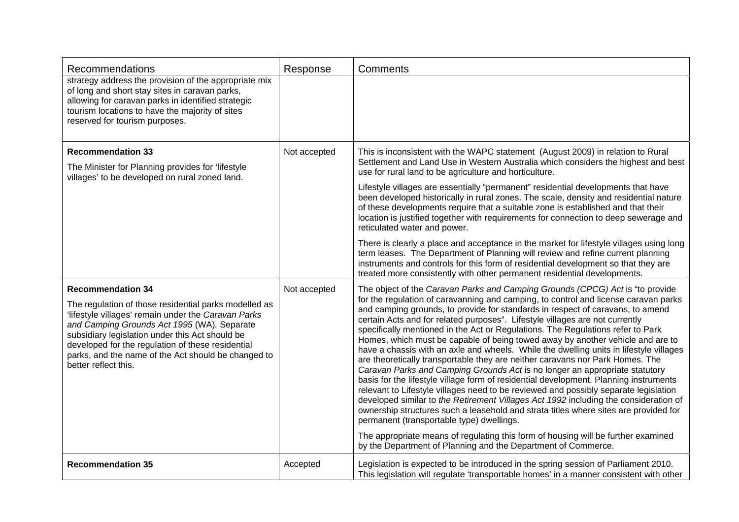| Recommendations                                                                                                                                                                                                                                                                                                                                                                | Response     | Comments                                                                                                                                                                                                                                                                                                                                                                                                                                                                                                                                                                                                                                                                                                                                                                                                                                                                                                                                                                                                                                                                                                                                                                                                                                                                                                                                  |
|--------------------------------------------------------------------------------------------------------------------------------------------------------------------------------------------------------------------------------------------------------------------------------------------------------------------------------------------------------------------------------|--------------|-------------------------------------------------------------------------------------------------------------------------------------------------------------------------------------------------------------------------------------------------------------------------------------------------------------------------------------------------------------------------------------------------------------------------------------------------------------------------------------------------------------------------------------------------------------------------------------------------------------------------------------------------------------------------------------------------------------------------------------------------------------------------------------------------------------------------------------------------------------------------------------------------------------------------------------------------------------------------------------------------------------------------------------------------------------------------------------------------------------------------------------------------------------------------------------------------------------------------------------------------------------------------------------------------------------------------------------------|
| strategy address the provision of the appropriate mix<br>of long and short stay sites in caravan parks,<br>allowing for caravan parks in identified strategic<br>tourism locations to have the majority of sites<br>reserved for tourism purposes.                                                                                                                             |              |                                                                                                                                                                                                                                                                                                                                                                                                                                                                                                                                                                                                                                                                                                                                                                                                                                                                                                                                                                                                                                                                                                                                                                                                                                                                                                                                           |
| <b>Recommendation 33</b><br>The Minister for Planning provides for 'lifestyle<br>villages' to be developed on rural zoned land.                                                                                                                                                                                                                                                | Not accepted | This is inconsistent with the WAPC statement (August 2009) in relation to Rural<br>Settlement and Land Use in Western Australia which considers the highest and best<br>use for rural land to be agriculture and horticulture.                                                                                                                                                                                                                                                                                                                                                                                                                                                                                                                                                                                                                                                                                                                                                                                                                                                                                                                                                                                                                                                                                                            |
|                                                                                                                                                                                                                                                                                                                                                                                |              | Lifestyle villages are essentially "permanent" residential developments that have<br>been developed historically in rural zones. The scale, density and residential nature<br>of these developments require that a suitable zone is established and that their<br>location is justified together with requirements for connection to deep sewerage and<br>reticulated water and power.                                                                                                                                                                                                                                                                                                                                                                                                                                                                                                                                                                                                                                                                                                                                                                                                                                                                                                                                                    |
|                                                                                                                                                                                                                                                                                                                                                                                |              | There is clearly a place and acceptance in the market for lifestyle villages using long<br>term leases. The Department of Planning will review and refine current planning<br>instruments and controls for this form of residential development so that they are<br>treated more consistently with other permanent residential developments.                                                                                                                                                                                                                                                                                                                                                                                                                                                                                                                                                                                                                                                                                                                                                                                                                                                                                                                                                                                              |
| <b>Recommendation 34</b><br>The regulation of those residential parks modelled as<br>'lifestyle villages' remain under the Caravan Parks<br>and Camping Grounds Act 1995 (WA). Separate<br>subsidiary legislation under this Act should be<br>developed for the regulation of these residential<br>parks, and the name of the Act should be changed to<br>better reflect this. | Not accepted | The object of the Caravan Parks and Camping Grounds (CPCG) Act is "to provide<br>for the regulation of caravanning and camping, to control and license caravan parks<br>and camping grounds, to provide for standards in respect of caravans, to amend<br>certain Acts and for related purposes". Lifestyle villages are not currently<br>specifically mentioned in the Act or Regulations. The Regulations refer to Park<br>Homes, which must be capable of being towed away by another vehicle and are to<br>have a chassis with an axle and wheels. While the dwelling units in lifestyle villages<br>are theoretically transportable they are neither caravans nor Park Homes. The<br>Caravan Parks and Camping Grounds Act is no longer an appropriate statutory<br>basis for the lifestyle village form of residential development. Planning instruments<br>relevant to Lifestyle villages need to be reviewed and possibly separate legislation<br>developed similar to the Retirement Villages Act 1992 including the consideration of<br>ownership structures such a leasehold and strata titles where sites are provided for<br>permanent (transportable type) dwellings.<br>The appropriate means of regulating this form of housing will be further examined<br>by the Department of Planning and the Department of Commerce. |
| <b>Recommendation 35</b>                                                                                                                                                                                                                                                                                                                                                       | Accepted     | Legislation is expected to be introduced in the spring session of Parliament 2010.<br>This legislation will regulate 'transportable homes' in a manner consistent with other                                                                                                                                                                                                                                                                                                                                                                                                                                                                                                                                                                                                                                                                                                                                                                                                                                                                                                                                                                                                                                                                                                                                                              |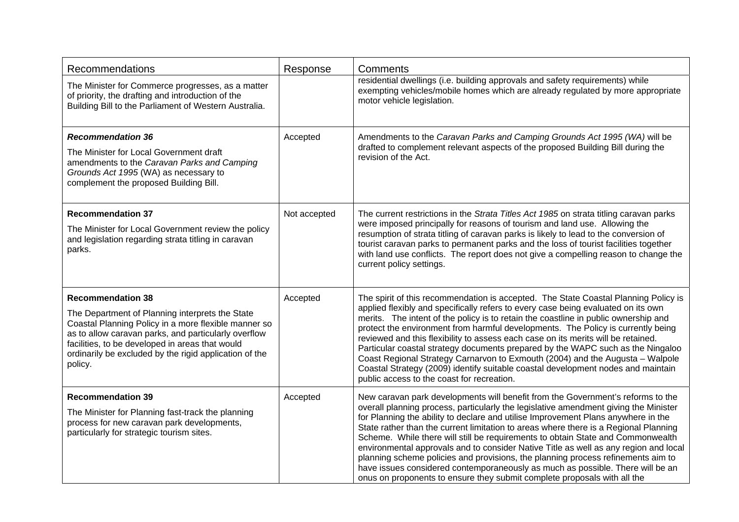| Recommendations                                                                                                                                                                                                                                                                                                     | Response     | Comments                                                                                                                                                                                                                                                                                                                                                                                                                                                                                                                                                                                                                                                                                                                                                                          |
|---------------------------------------------------------------------------------------------------------------------------------------------------------------------------------------------------------------------------------------------------------------------------------------------------------------------|--------------|-----------------------------------------------------------------------------------------------------------------------------------------------------------------------------------------------------------------------------------------------------------------------------------------------------------------------------------------------------------------------------------------------------------------------------------------------------------------------------------------------------------------------------------------------------------------------------------------------------------------------------------------------------------------------------------------------------------------------------------------------------------------------------------|
| The Minister for Commerce progresses, as a matter<br>of priority, the drafting and introduction of the<br>Building Bill to the Parliament of Western Australia.                                                                                                                                                     |              | residential dwellings (i.e. building approvals and safety requirements) while<br>exempting vehicles/mobile homes which are already regulated by more appropriate<br>motor vehicle legislation.                                                                                                                                                                                                                                                                                                                                                                                                                                                                                                                                                                                    |
| <b>Recommendation 36</b><br>The Minister for Local Government draft<br>amendments to the Caravan Parks and Camping<br>Grounds Act 1995 (WA) as necessary to<br>complement the proposed Building Bill.                                                                                                               | Accepted     | Amendments to the Caravan Parks and Camping Grounds Act 1995 (WA) will be<br>drafted to complement relevant aspects of the proposed Building Bill during the<br>revision of the Act.                                                                                                                                                                                                                                                                                                                                                                                                                                                                                                                                                                                              |
| <b>Recommendation 37</b><br>The Minister for Local Government review the policy<br>and legislation regarding strata titling in caravan<br>parks.                                                                                                                                                                    | Not accepted | The current restrictions in the Strata Titles Act 1985 on strata titling caravan parks<br>were imposed principally for reasons of tourism and land use. Allowing the<br>resumption of strata titling of caravan parks is likely to lead to the conversion of<br>tourist caravan parks to permanent parks and the loss of tourist facilities together<br>with land use conflicts. The report does not give a compelling reason to change the<br>current policy settings.                                                                                                                                                                                                                                                                                                           |
| <b>Recommendation 38</b><br>The Department of Planning interprets the State<br>Coastal Planning Policy in a more flexible manner so<br>as to allow caravan parks, and particularly overflow<br>facilities, to be developed in areas that would<br>ordinarily be excluded by the rigid application of the<br>policy. | Accepted     | The spirit of this recommendation is accepted. The State Coastal Planning Policy is<br>applied flexibly and specifically refers to every case being evaluated on its own<br>merits. The intent of the policy is to retain the coastline in public ownership and<br>protect the environment from harmful developments. The Policy is currently being<br>reviewed and this flexibility to assess each case on its merits will be retained.<br>Particular coastal strategy documents prepared by the WAPC such as the Ningaloo<br>Coast Regional Strategy Carnarvon to Exmouth (2004) and the Augusta - Walpole<br>Coastal Strategy (2009) identify suitable coastal development nodes and maintain<br>public access to the coast for recreation.                                    |
| <b>Recommendation 39</b><br>The Minister for Planning fast-track the planning<br>process for new caravan park developments,<br>particularly for strategic tourism sites.                                                                                                                                            | Accepted     | New caravan park developments will benefit from the Government's reforms to the<br>overall planning process, particularly the legislative amendment giving the Minister<br>for Planning the ability to declare and utilise Improvement Plans anywhere in the<br>State rather than the current limitation to areas where there is a Regional Planning<br>Scheme. While there will still be requirements to obtain State and Commonwealth<br>environmental approvals and to consider Native Title as well as any region and local<br>planning scheme policies and provisions, the planning process refinements aim to<br>have issues considered contemporaneously as much as possible. There will be an<br>onus on proponents to ensure they submit complete proposals with all the |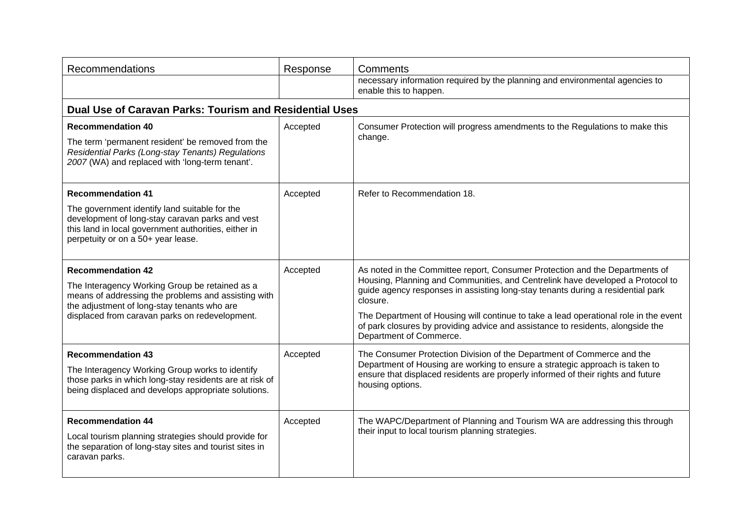| Recommendations                                                                                                                                                                                                                    | Response | Comments                                                                                                                                                                                                                                                                                                                                                                                                                                                            |
|------------------------------------------------------------------------------------------------------------------------------------------------------------------------------------------------------------------------------------|----------|---------------------------------------------------------------------------------------------------------------------------------------------------------------------------------------------------------------------------------------------------------------------------------------------------------------------------------------------------------------------------------------------------------------------------------------------------------------------|
|                                                                                                                                                                                                                                    |          | necessary information required by the planning and environmental agencies to<br>enable this to happen.                                                                                                                                                                                                                                                                                                                                                              |
| <b>Dual Use of Caravan Parks: Tourism and Residential Uses</b>                                                                                                                                                                     |          |                                                                                                                                                                                                                                                                                                                                                                                                                                                                     |
| <b>Recommendation 40</b><br>The term 'permanent resident' be removed from the<br>Residential Parks (Long-stay Tenants) Regulations<br>2007 (WA) and replaced with 'long-term tenant'.                                              | Accepted | Consumer Protection will progress amendments to the Regulations to make this<br>change.                                                                                                                                                                                                                                                                                                                                                                             |
| <b>Recommendation 41</b><br>The government identify land suitable for the<br>development of long-stay caravan parks and vest<br>this land in local government authorities, either in<br>perpetuity or on a 50+ year lease.         | Accepted | Refer to Recommendation 18.                                                                                                                                                                                                                                                                                                                                                                                                                                         |
| <b>Recommendation 42</b><br>The Interagency Working Group be retained as a<br>means of addressing the problems and assisting with<br>the adjustment of long-stay tenants who are<br>displaced from caravan parks on redevelopment. | Accepted | As noted in the Committee report, Consumer Protection and the Departments of<br>Housing, Planning and Communities, and Centrelink have developed a Protocol to<br>guide agency responses in assisting long-stay tenants during a residential park<br>closure.<br>The Department of Housing will continue to take a lead operational role in the event<br>of park closures by providing advice and assistance to residents, alongside the<br>Department of Commerce. |
| <b>Recommendation 43</b><br>The Interagency Working Group works to identify<br>those parks in which long-stay residents are at risk of<br>being displaced and develops appropriate solutions.                                      | Accepted | The Consumer Protection Division of the Department of Commerce and the<br>Department of Housing are working to ensure a strategic approach is taken to<br>ensure that displaced residents are properly informed of their rights and future<br>housing options.                                                                                                                                                                                                      |
| <b>Recommendation 44</b><br>Local tourism planning strategies should provide for<br>the separation of long-stay sites and tourist sites in<br>caravan parks.                                                                       | Accepted | The WAPC/Department of Planning and Tourism WA are addressing this through<br>their input to local tourism planning strategies.                                                                                                                                                                                                                                                                                                                                     |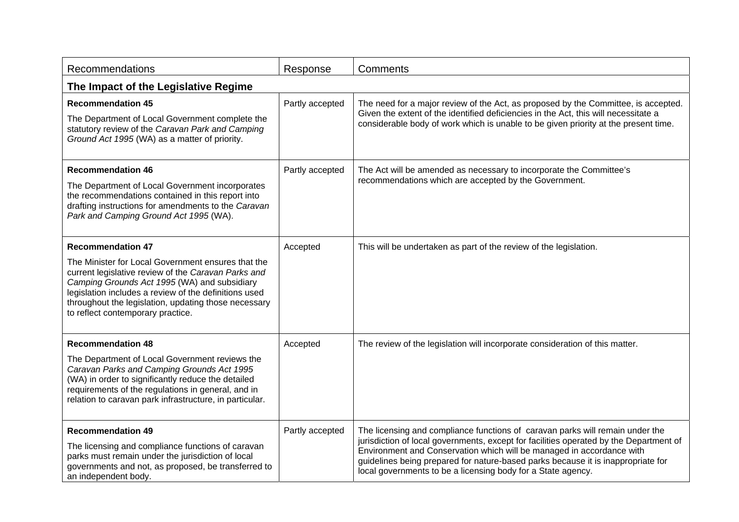| Recommendations                                                                                                                                                                                                                                                                                                                             | Response        | Comments                                                                                                                                                                                                                                                                                                                                                                                             |  |  |
|---------------------------------------------------------------------------------------------------------------------------------------------------------------------------------------------------------------------------------------------------------------------------------------------------------------------------------------------|-----------------|------------------------------------------------------------------------------------------------------------------------------------------------------------------------------------------------------------------------------------------------------------------------------------------------------------------------------------------------------------------------------------------------------|--|--|
| The Impact of the Legislative Regime                                                                                                                                                                                                                                                                                                        |                 |                                                                                                                                                                                                                                                                                                                                                                                                      |  |  |
| <b>Recommendation 45</b><br>The Department of Local Government complete the<br>statutory review of the Caravan Park and Camping<br>Ground Act 1995 (WA) as a matter of priority.                                                                                                                                                            | Partly accepted | The need for a major review of the Act, as proposed by the Committee, is accepted.<br>Given the extent of the identified deficiencies in the Act, this will necessitate a<br>considerable body of work which is unable to be given priority at the present time.                                                                                                                                     |  |  |
| <b>Recommendation 46</b><br>The Department of Local Government incorporates<br>the recommendations contained in this report into<br>drafting instructions for amendments to the Caravan<br>Park and Camping Ground Act 1995 (WA).                                                                                                           | Partly accepted | The Act will be amended as necessary to incorporate the Committee's<br>recommendations which are accepted by the Government.                                                                                                                                                                                                                                                                         |  |  |
| <b>Recommendation 47</b><br>The Minister for Local Government ensures that the<br>current legislative review of the Caravan Parks and<br>Camping Grounds Act 1995 (WA) and subsidiary<br>legislation includes a review of the definitions used<br>throughout the legislation, updating those necessary<br>to reflect contemporary practice. | Accepted        | This will be undertaken as part of the review of the legislation.                                                                                                                                                                                                                                                                                                                                    |  |  |
| <b>Recommendation 48</b><br>The Department of Local Government reviews the<br>Caravan Parks and Camping Grounds Act 1995<br>(WA) in order to significantly reduce the detailed<br>requirements of the regulations in general, and in<br>relation to caravan park infrastructure, in particular.                                             | Accepted        | The review of the legislation will incorporate consideration of this matter.                                                                                                                                                                                                                                                                                                                         |  |  |
| <b>Recommendation 49</b><br>The licensing and compliance functions of caravan<br>parks must remain under the jurisdiction of local<br>governments and not, as proposed, be transferred to<br>an independent body.                                                                                                                           | Partly accepted | The licensing and compliance functions of caravan parks will remain under the<br>jurisdiction of local governments, except for facilities operated by the Department of<br>Environment and Conservation which will be managed in accordance with<br>guidelines being prepared for nature-based parks because it is inappropriate for<br>local governments to be a licensing body for a State agency. |  |  |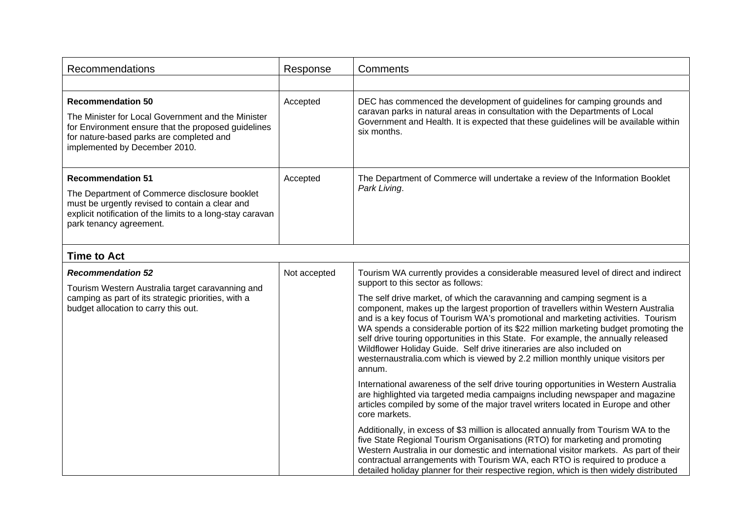| <b>Recommendations</b>                                                                                                                                                                                                | Response     | Comments                                                                                                                                                                                                                                                       |
|-----------------------------------------------------------------------------------------------------------------------------------------------------------------------------------------------------------------------|--------------|----------------------------------------------------------------------------------------------------------------------------------------------------------------------------------------------------------------------------------------------------------------|
|                                                                                                                                                                                                                       |              |                                                                                                                                                                                                                                                                |
| <b>Recommendation 50</b><br>The Minister for Local Government and the Minister<br>for Environment ensure that the proposed guidelines<br>for nature-based parks are completed and<br>implemented by December 2010.    | Accepted     | DEC has commenced the development of guidelines for camping grounds and<br>caravan parks in natural areas in consultation with the Departments of Local<br>Government and Health. It is expected that these guidelines will be available within<br>six months. |
| <b>Recommendation 51</b><br>The Department of Commerce disclosure booklet<br>must be urgently revised to contain a clear and<br>explicit notification of the limits to a long-stay caravan<br>park tenancy agreement. | Accepted     | The Department of Commerce will undertake a review of the Information Booklet<br>Park Living.                                                                                                                                                                  |
| <b>Time to Act</b>                                                                                                                                                                                                    |              |                                                                                                                                                                                                                                                                |
| <b>Recommendation 52</b><br>Tourism Western Australia target caravanning and                                                                                                                                          | Not accepted | Tourism WA currently provides a considerable measured level of direct and indirect<br>support to this sector as follows:                                                                                                                                       |

| Tourism Western Australia target caravanning and<br>camping as part of its strategic priorities, with a | support to this sector as follows.<br>The self drive market, of which the caravanning and camping segment is a                                                                                                                                                                                                                                                                                                                                                                                                           |
|---------------------------------------------------------------------------------------------------------|--------------------------------------------------------------------------------------------------------------------------------------------------------------------------------------------------------------------------------------------------------------------------------------------------------------------------------------------------------------------------------------------------------------------------------------------------------------------------------------------------------------------------|
| budget allocation to carry this out.                                                                    | component, makes up the largest proportion of travellers within Western Australia<br>and is a key focus of Tourism WA's promotional and marketing activities. Tourism<br>WA spends a considerable portion of its \$22 million marketing budget promoting the<br>self drive touring opportunities in this State. For example, the annually released<br>Wildflower Holiday Guide. Self drive itineraries are also included on<br>westernaustralia.com which is viewed by 2.2 million monthly unique visitors per<br>annum. |
|                                                                                                         | International awareness of the self drive touring opportunities in Western Australia<br>are highlighted via targeted media campaigns including newspaper and magazine<br>articles compiled by some of the major travel writers located in Europe and other<br>core markets.                                                                                                                                                                                                                                              |
|                                                                                                         | Additionally, in excess of \$3 million is allocated annually from Tourism WA to the<br>five State Regional Tourism Organisations (RTO) for marketing and promoting<br>Western Australia in our domestic and international visitor markets. As part of their<br>contractual arrangements with Tourism WA, each RTO is required to produce a<br>detailed holiday planner for their respective region, which is then widely distributed                                                                                     |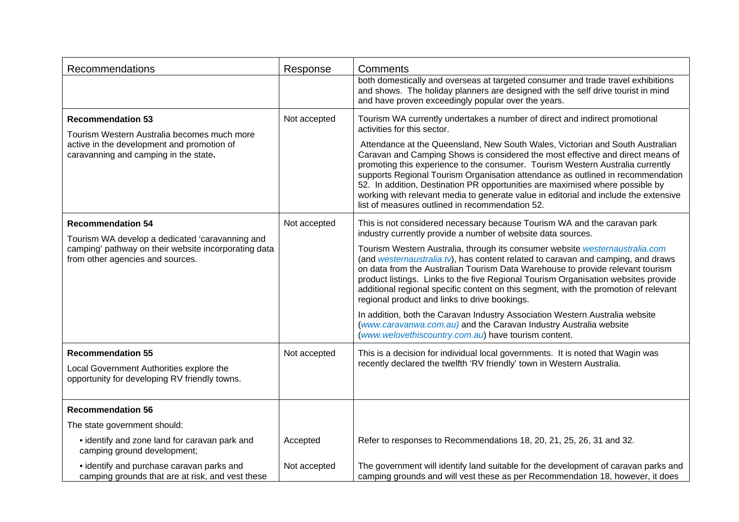| Recommendations                                                                                                                                                         | Response     | Comments                                                                                                                                                                                                                                                                                                                                                                                                                                                                                                                                                                                                                                                                                                                                                                                                                                   |
|-------------------------------------------------------------------------------------------------------------------------------------------------------------------------|--------------|--------------------------------------------------------------------------------------------------------------------------------------------------------------------------------------------------------------------------------------------------------------------------------------------------------------------------------------------------------------------------------------------------------------------------------------------------------------------------------------------------------------------------------------------------------------------------------------------------------------------------------------------------------------------------------------------------------------------------------------------------------------------------------------------------------------------------------------------|
|                                                                                                                                                                         |              | both domestically and overseas at targeted consumer and trade travel exhibitions<br>and shows. The holiday planners are designed with the self drive tourist in mind<br>and have proven exceedingly popular over the years.                                                                                                                                                                                                                                                                                                                                                                                                                                                                                                                                                                                                                |
| <b>Recommendation 53</b><br>Tourism Western Australia becomes much more<br>active in the development and promotion of<br>caravanning and camping in the state.          | Not accepted | Tourism WA currently undertakes a number of direct and indirect promotional<br>activities for this sector.<br>Attendance at the Queensland, New South Wales, Victorian and South Australian<br>Caravan and Camping Shows is considered the most effective and direct means of<br>promoting this experience to the consumer. Tourism Western Australia currently<br>supports Regional Tourism Organisation attendance as outlined in recommendation<br>52. In addition, Destination PR opportunities are maximised where possible by<br>working with relevant media to generate value in editorial and include the extensive<br>list of measures outlined in recommendation 52.                                                                                                                                                             |
| <b>Recommendation 54</b><br>Tourism WA develop a dedicated 'caravanning and<br>camping' pathway on their website incorporating data<br>from other agencies and sources. | Not accepted | This is not considered necessary because Tourism WA and the caravan park<br>industry currently provide a number of website data sources.<br>Tourism Western Australia, through its consumer website westernaustralia.com<br>(and westernaustralia.tv), has content related to caravan and camping, and draws<br>on data from the Australian Tourism Data Warehouse to provide relevant tourism<br>product listings. Links to the five Regional Tourism Organisation websites provide<br>additional regional specific content on this segment, with the promotion of relevant<br>regional product and links to drive bookings.<br>In addition, both the Caravan Industry Association Western Australia website<br>(www.caravanwa.com.au) and the Caravan Industry Australia website<br>(www.welovethiscountry.com.au) have tourism content. |
| <b>Recommendation 55</b><br>Local Government Authorities explore the<br>opportunity for developing RV friendly towns.                                                   | Not accepted | This is a decision for individual local governments. It is noted that Wagin was<br>recently declared the twelfth 'RV friendly' town in Western Australia.                                                                                                                                                                                                                                                                                                                                                                                                                                                                                                                                                                                                                                                                                  |
| <b>Recommendation 56</b>                                                                                                                                                |              |                                                                                                                                                                                                                                                                                                                                                                                                                                                                                                                                                                                                                                                                                                                                                                                                                                            |
| The state government should:                                                                                                                                            |              |                                                                                                                                                                                                                                                                                                                                                                                                                                                                                                                                                                                                                                                                                                                                                                                                                                            |
| • identify and zone land for caravan park and<br>camping ground development;                                                                                            | Accepted     | Refer to responses to Recommendations 18, 20, 21, 25, 26, 31 and 32.                                                                                                                                                                                                                                                                                                                                                                                                                                                                                                                                                                                                                                                                                                                                                                       |
| • identify and purchase caravan parks and<br>camping grounds that are at risk, and vest these                                                                           | Not accepted | The government will identify land suitable for the development of caravan parks and<br>camping grounds and will vest these as per Recommendation 18, however, it does                                                                                                                                                                                                                                                                                                                                                                                                                                                                                                                                                                                                                                                                      |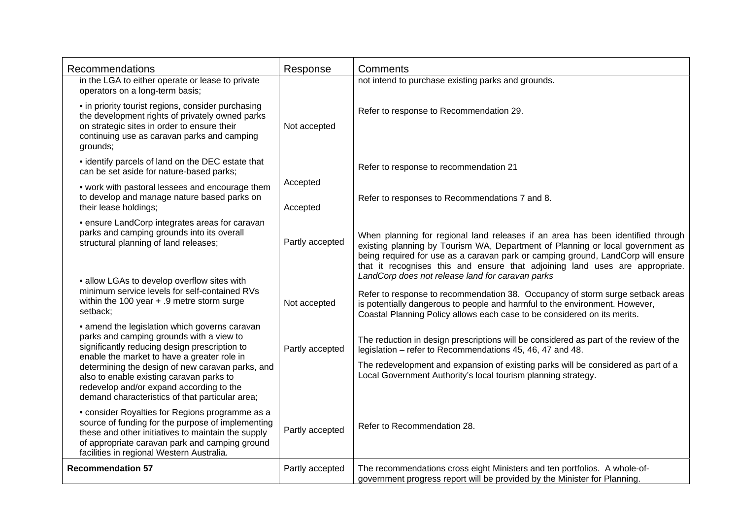| <b>Recommendations</b>                                                                                                                                                                                                                                                                    | Response             | Comments                                                                                                                                                                                                                                                                                                                              |
|-------------------------------------------------------------------------------------------------------------------------------------------------------------------------------------------------------------------------------------------------------------------------------------------|----------------------|---------------------------------------------------------------------------------------------------------------------------------------------------------------------------------------------------------------------------------------------------------------------------------------------------------------------------------------|
| in the LGA to either operate or lease to private<br>operators on a long-term basis;                                                                                                                                                                                                       |                      | not intend to purchase existing parks and grounds.                                                                                                                                                                                                                                                                                    |
| • in priority tourist regions, consider purchasing<br>the development rights of privately owned parks<br>on strategic sites in order to ensure their<br>continuing use as caravan parks and camping<br>grounds;                                                                           | Not accepted         | Refer to response to Recommendation 29.                                                                                                                                                                                                                                                                                               |
| • identify parcels of land on the DEC estate that<br>can be set aside for nature-based parks;                                                                                                                                                                                             |                      | Refer to response to recommendation 21                                                                                                                                                                                                                                                                                                |
| • work with pastoral lessees and encourage them<br>to develop and manage nature based parks on<br>their lease holdings;                                                                                                                                                                   | Accepted<br>Accepted | Refer to responses to Recommendations 7 and 8.                                                                                                                                                                                                                                                                                        |
| • ensure LandCorp integrates areas for caravan<br>parks and camping grounds into its overall<br>structural planning of land releases;                                                                                                                                                     | Partly accepted      | When planning for regional land releases if an area has been identified through<br>existing planning by Tourism WA, Department of Planning or local government as<br>being required for use as a caravan park or camping ground, LandCorp will ensure<br>that it recognises this and ensure that adjoining land uses are appropriate. |
| • allow LGAs to develop overflow sites with<br>minimum service levels for self-contained RVs<br>within the 100 year $+$ .9 metre storm surge<br>setback;                                                                                                                                  | Not accepted         | LandCorp does not release land for caravan parks<br>Refer to response to recommendation 38. Occupancy of storm surge setback areas<br>is potentially dangerous to people and harmful to the environment. However,<br>Coastal Planning Policy allows each case to be considered on its merits.                                         |
| • amend the legislation which governs caravan<br>parks and camping grounds with a view to<br>significantly reducing design prescription to<br>enable the market to have a greater role in<br>determining the design of new caravan parks, and<br>also to enable existing caravan parks to | Partly accepted      | The reduction in design prescriptions will be considered as part of the review of the<br>legislation - refer to Recommendations 45, 46, 47 and 48.<br>The redevelopment and expansion of existing parks will be considered as part of a<br>Local Government Authority's local tourism planning strategy.                              |
| redevelop and/or expand according to the<br>demand characteristics of that particular area;                                                                                                                                                                                               |                      |                                                                                                                                                                                                                                                                                                                                       |
| • consider Royalties for Regions programme as a<br>source of funding for the purpose of implementing<br>these and other initiatives to maintain the supply<br>of appropriate caravan park and camping ground<br>facilities in regional Western Australia.                                 | Partly accepted      | Refer to Recommendation 28.                                                                                                                                                                                                                                                                                                           |
| <b>Recommendation 57</b>                                                                                                                                                                                                                                                                  | Partly accepted      | The recommendations cross eight Ministers and ten portfolios. A whole-of-<br>government progress report will be provided by the Minister for Planning.                                                                                                                                                                                |